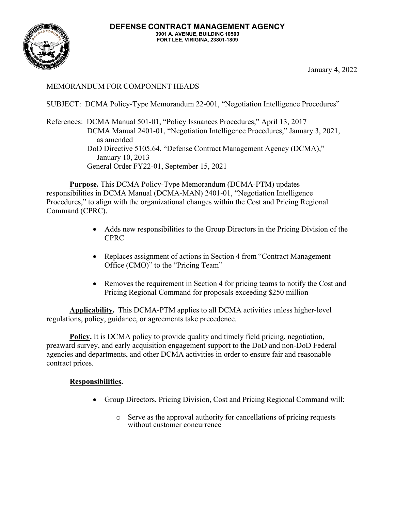## MEMORANDUM FOR COMPONENT HEADS

SUBJECT: DCMA Policy-Type Memorandum 22-001, "Negotiation Intelligence Procedures"

References: DCMA Manual 501-01, "Policy Issuances Procedures," April 13, 2017 DCMA Manual 2401-01, "Negotiation Intelligence Procedures," January 3, 2021, as amended DoD Directive 5105.64, "Defense Contract Management Agency (DCMA)," January 10, 2013 General Order FY22-01, September 15, 2021

**Purpose.** This DCMA Policy-Type Memorandum (DCMA-PTM) updates responsibilities in DCMA Manual (DCMA-MAN) 2401-01, "Negotiation Intelligence Procedures," to align with the organizational changes within the Cost and Pricing Regional Command (CPRC).

- Adds new responsibilities to the Group Directors in the Pricing Division of the CPRC
- Replaces assignment of actions in Section 4 from "Contract Management" Office (CMO)" to the "Pricing Team"
- Removes the requirement in Section 4 for pricing teams to notify the Cost and Pricing Regional Command for proposals exceeding \$250 million

**Applicability.** This DCMA-PTM applies to all DCMA activities unless higher-level regulations, policy, guidance, or agreements take precedence.

**Policy.** It is DCMA policy to provide quality and timely field pricing, negotiation, preaward survey, and early acquisition engagement support to the DoD and non-DoD Federal agencies and departments, and other DCMA activities in order to ensure fair and reasonable contract prices.

## **Responsibilities.**

- Group Directors, Pricing Division, Cost and Pricing Regional Command will:
	- o Serve as the approval authority for cancellations of pricing requests without customer concurrence